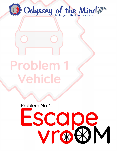

# Problem 1 Vehicle

Problem No. 1:

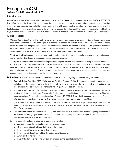## **Introduction**

Modern escape rooms were inspired by "point-and-click" style video games that first appeared in the 1980's. In 2006-2007 Takao Kato created the first real life escape game that led to escape rooms we know today where teammates work together to solve various clues. All the while OM teams were building all types of creative vehicles. Now your team is going to find itself stuck in a room where solving clues is the only way to escape. To find some of the clues you're going to need the help of your vehicle friends. They will do the work and your team will do the thinking. Good luck! We will see you on the outside.

# **A. The Problem**

Odyssey teams take their problem-solving skills inside a box as they create a performance that includes one or more team-created vehicles that will help a group of characters escape an unusual room. The vehicle will travel to areas within the room and complete tasks. Each time it completes a task it will release a "clue" that the group will use in the next area to release the next clue, and so on. When the vehicle performs the final task, it will reveal a final clue that allows the group to escape the room and they discover the mystery behind the room!

The **Creative Emphases** of the problem are on the performance, the vehicle's propulsion systems, how the tasks are completed, how the clues are solved, and the mystery room concept.

The **Spirit of the Problem** is for the team to perform an original solution about characters trying to escape an unusual room. The team will run one or more team-made vehicles with multiple propulsion systems that complete four tasks selected from a list. Once a task is successfully completed, a clue will be revealed. The clues will lead the characters to another clue and eventually out of the room. After the vehicle completes a task that reveals the final clue, the characters escape the room and discover the mystery behind the room.

### **B. Limitations** *(Italicized words/terms are defined in the 2021-2022 Odyssey of the Mind Program Guide.)*

- 1. **General Rules:** Read the *2021-22 Odyssey of the Mind Program Guide*. This manual is updated each year and includes important rules for solving the Odyssey of the Mind problems and forms required for competition. This problem cannot be solved without referring to the Program Rules section of the guide.
- 2. **Problem Clarifications:** The *Odyssey of the Mind Program Guide* explains the types of questions that will be clarified and how to submit them. Problem clarifications can be submitted and accessed at www.odysseyofthemind. com/clarifications. The deadline for submission is February 15, 2022. CCI may find it necessary to issue clarifications after that date, so continue to check for them after February 15 and before each competition.
- 3. The **time limit** for this problem is 8 minutes. This starts when the Timekeeper says, "Team Begin," and includes setup, Style, and the presentation of the solution. Time ends when the team finishes or the Timekeeper says, "Time," whichever comes first.
- 4. The **cost limit** for this problem is \$145 (U.S.). The combined value of all materials used during the presentation of the solution, including Style, cannot exceed this amount. The Odyssey of the Mind Program Guide explains the cost limit and lists items that are exempt from cost.
- 5. The team will create an original performance that includes:
	- a. A group of characters trying to escape an unusual room.
	- b. One or more original vehicles that travel in the room.
	- c. Four required tasks completed by the vehicle.
	- d. Four required clues that lead the characters out of the room.
	- e. A mystery behind the room.
	- f. Five Style elements including two that are chosen by the team listed in F. Style.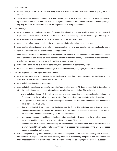#### 6. The **Characters**:

- a. will be portrayed in the performance as trying to escape an unusual room. The room can be anything the team wishes.
- b. There must be a minimum of three characters that are trying to escape from the room. One must be portrayed by a team member in costume that reveals the mystery behind the room. Other characters may be portrayed any way the team wishes but must meet the requirements of being a character.

#### 7. **The vehicle(s)**:

- a. must be an original creation of the team. To be considered original, the way a vehicle travels and/or the way it is propelled must be a result of the team's ideas and work. Vehicles may include *commercially-produced* parts.
- b. must individually fit within an 18" x 18" square oriented in the way it will travel.
- c. must complete four required tasks that reveal clues to help the characters escape the room.
- d. must use two different propulsions systems. Each propulsion system must complete at least one task for score.
- e. cannot be electronically pre-programmed or remote-controlled.
- f. in Divisions 2/3/4 must be *self-contained*. Vehicles are not allowed to use any external power sources such as ramps or external fans. However, team members are allowed to store energy on the vehicle prior to the start of a task. They may use tools external to the vehicle to store the energy.
- g. in Division I, does not have to be self-contained, but it cannot use *direct human power*.
- h. must be safe and not cause harm or damage to the competition site, the judges, the team, or the audience.

#### 8. The **four required tasks completed by the vehicle**:

- a. must start with the vehicle completely behind the Release Line, then cross completely over the Release Line, complete the task and continue across the Clue Line.
- b. must include one task that is team-created.
- c. must include three selected from the following list. Teams will solve #1 or #2 depending on their division. For the other two tasks, teams may choose a task above their division, but not below. The tasks are:
	- 1. travel in a circle (divisions I & II) vehicle begins and ends at approximately the same location during a run. Some portion of the vehicle must cross over the Clue Line before returning to the original location.
	- 2. travel upside down (division III) after crossing the Release Line, the vehicle flips over and continues to travel across the Clue Line.
	- 3. drag something (all divisions) an item that is touching the floor will be pulled across the Release Line and continues until the vehicle crosses the Clue Line. The item cannot have wheels, it must rest on the floor for the entire task. It cannot cause damage to the competition site.
	- 4. pick up and transport something (all divisions) after crossing the Release Line, the vehicle picks up and transports an object crossing over some portion of the taped Clue Line.
	- 5. speed bumps (all divisions) after crossing the Release Line, vehicle will travel over a raised surface that is a minimum of 2" high and no wider than 4" where it is crossed then continues past the Clue Line. Speed bumps are supplied by the team.
- d. can be completed in any order; however, a task must be completed before the corresponding clue is revealed and the next run begins. Team can make as many attempts to successfully complete a task as it wishes, and the highest score out of all the attempts will be awarded. Teams can ask a judge if the task was successful.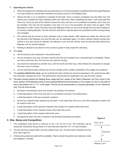#### 9. **Operating the vehicle**:

- a. When time begins the vehicle(s) and any decorations on it must be located completely behind the taped Release Line (see Figure A); and all team members and props must be in the Staging Area.
- b. Teams will start a run to attempt to complete its first task. Once it crosses completely over the Start Line, the vehicle can complete the task anywhere within the Task Area. After completing the task, it will travel past the Clue Line. Once any part of the vehicle crosses the Clue Line the run is considered successful, and a clue can be revealed. The clue can be revealed in any way. If a run is not successful, the team must try again. If the attempted run fails 3 times, the team may stop attempts at that run and act as though the clue was revealed or to continue making attempts. This will continue until all four required tasks are completed and the corresponding clue revealed.
- c. The vehicle may be moved by team members only to make repairs. After repairs are made, the vehicle must be returned to the Release Line and the task can be attempted again. If a team member directly touches the vehicle in any way during an attempt, the attempt is over and the vehicle must be returned back behind the Release Line for another attempt.
- d. Nothing is allowed to be placed on the course to guide or help propel the vehicle(s).
- 10. The **clues**:
	- a. will be solved by the characters in the performance.
	- b. can be revealed in any way, but there must be four that are revealed once a required task is completed. Teams can have more than four, but only four are used for scoring.
	- c. must lead the characters to another clue, until the fourth and final clue, which allows the characters to escape the room once it is solved.
	- d. can be anything the team wishes but must be visually and/or audibly noticeable to the judges and audience.
- 11. The **mystery behind the room** can be anything the team wishes but must be presented in the performance after the character's escape the room. The performance will provide the explanation any way the team wishes.
- 12. The team should present the Staging Area Judge with four copies of the Team's Required List Form found in the forms section of the Members Area at www.odysseyofthemind.com/members or four copies of a list on one side of one or two sheets of 8  $\frac{1}{2}$ " x 11" or A4 paper. This list can be hand-printed or computer-generated. It is for reference only. The list must include:
	- a. the team's membership name and number, the problem and division.
	- b. a brief description of the room and why it is considered unusual in the performance.
	- c. a brief description of the two propulsion systems.
	- d. list the four required tasks selected by the team, in the order they will occur, and which propulsion system will be used for each one.
	- e. a brief description of the required character that reveals the mystery behind the room.
	- f. a brief description of four required clues in the order they occur.
	- g. a brief description of the mystery behind the room.
	- h. the signal the team will use to indicate it has finished presenting its solution.

# **C. Site, Setup and Competition**

- 1. The competition area will be a minimum of  $24' \times 20'$  (9.1mx 6.1m). The vehicle(s) will be measured individually during check-in to see that they meet the 18' x 18" size limitation.
- 2. The site will have a taped Start Line and a taped Clue Line. The task area is between the two lines (see Figure A).
- 3. A three-prong electrical outlet will be available. Teams should bring their own extension cords and adapters, if needed.

#### **Figure A**

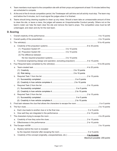- 4. Team members must report to the competition site with all their props and paperwork at least 15 minutes before they are scheduled to compete.
- 5. At the end of the 8-minute competition period, the Timekeeper will call time and all activity must stop. The team may end before the 8 minutes, but it must signal the judges when it is finished.
- 6. Teams should bring cleaning supplies to clean up any mess. Should a team take an unreasonable amount of time to clean the site, or leave a mess, the judges will assess an Unsportsmanlike Conduct penalty. Others not on the team's roster can help the team clear the site and remove the team's props. The competition area must be left undamaged, and clean and dry for the next team.

## **D. Scoring**

| 1. |                                                                                          |                              |
|----|------------------------------------------------------------------------------------------|------------------------------|
| 2. |                                                                                          |                              |
| 3. |                                                                                          |                              |
|    | а.                                                                                       |                              |
|    |                                                                                          |                              |
|    |                                                                                          |                              |
|    | (3) The difference between                                                               |                              |
|    |                                                                                          |                              |
|    | Functional engineering (design and operation, excluding propulsion) 4 to 15 points<br>b. |                              |
| 4. |                                                                                          |                              |
|    | a.                                                                                       |                              |
|    |                                                                                          |                              |
|    |                                                                                          |                              |
|    | b.                                                                                       |                              |
|    |                                                                                          |                              |
|    |                                                                                          |                              |
|    | C.                                                                                       |                              |
|    |                                                                                          |                              |
|    |                                                                                          |                              |
|    | d.                                                                                       |                              |
|    |                                                                                          |                              |
|    |                                                                                          |                              |
| 5. |                                                                                          |                              |
| 6. |                                                                                          |                              |
|    |                                                                                          |                              |
|    |                                                                                          |                              |
| 7. |                                                                                          |                              |
|    |                                                                                          |                              |
|    |                                                                                          |                              |
| 8. |                                                                                          |                              |
|    | Mystery behind the room is revealed<br>a.                                                |                              |
|    |                                                                                          |                              |
|    | b.                                                                                       |                              |
|    |                                                                                          | Maximum possible: 200 points |